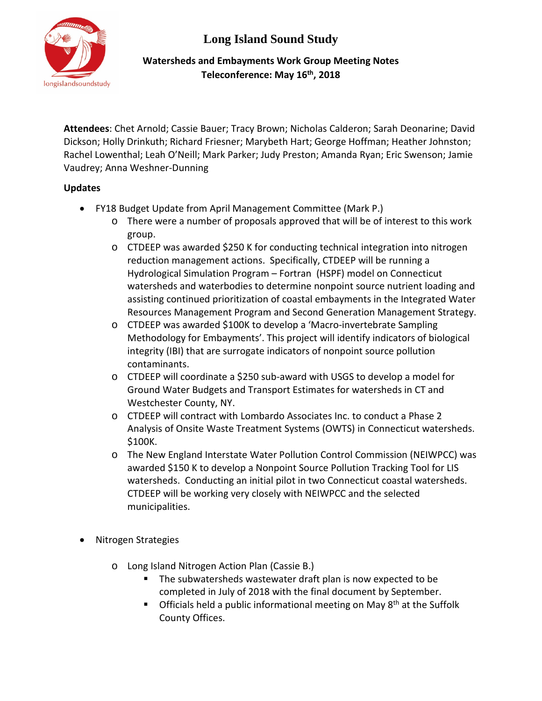**Long Island Sound Study**



## **Watersheds and Embayments Work Group Meeting Notes Teleconference: May 16th, 2018**

**Attendees**: Chet Arnold; Cassie Bauer; Tracy Brown; Nicholas Calderon; Sarah Deonarine; David Dickson; Holly Drinkuth; Richard Friesner; Marybeth Hart; George Hoffman; Heather Johnston; Rachel Lowenthal; Leah O'Neill; Mark Parker; Judy Preston; Amanda Ryan; Eric Swenson; Jamie Vaudrey; Anna Weshner-Dunning

# **Updates**

- FY18 Budget Update from April Management Committee (Mark P.)
	- o There were a number of proposals approved that will be of interest to this work group.
	- o CTDEEP was awarded \$250 K for conducting technical integration into nitrogen reduction management actions. Specifically, CTDEEP will be running a Hydrological Simulation Program – Fortran (HSPF) model on Connecticut watersheds and waterbodies to determine nonpoint source nutrient loading and assisting continued prioritization of coastal embayments in the Integrated Water Resources Management Program and Second Generation Management Strategy.
	- o CTDEEP was awarded \$100K to develop a 'Macro-invertebrate Sampling Methodology for Embayments'. This project will identify indicators of biological integrity (IBI) that are surrogate indicators of nonpoint source pollution contaminants.
	- o CTDEEP will coordinate a \$250 sub-award with USGS to develop a model for Ground Water Budgets and Transport Estimates for watersheds in CT and Westchester County, NY.
	- o CTDEEP will contract with Lombardo Associates Inc. to conduct a Phase 2 Analysis of Onsite Waste Treatment Systems (OWTS) in Connecticut watersheds. \$100K.
	- o The New England Interstate Water Pollution Control Commission (NEIWPCC) was awarded \$150 K to develop a Nonpoint Source Pollution Tracking Tool for LIS watersheds. Conducting an initial pilot in two Connecticut coastal watersheds. CTDEEP will be working very closely with NEIWPCC and the selected municipalities.
- Nitrogen Strategies
	- o Long Island Nitrogen Action Plan (Cassie B.)
		- The subwatersheds wastewater draft plan is now expected to be completed in July of 2018 with the final document by September.
		- **Officials held a public informational meeting on May**  $8<sup>th</sup>$  **at the Suffolk** County Offices.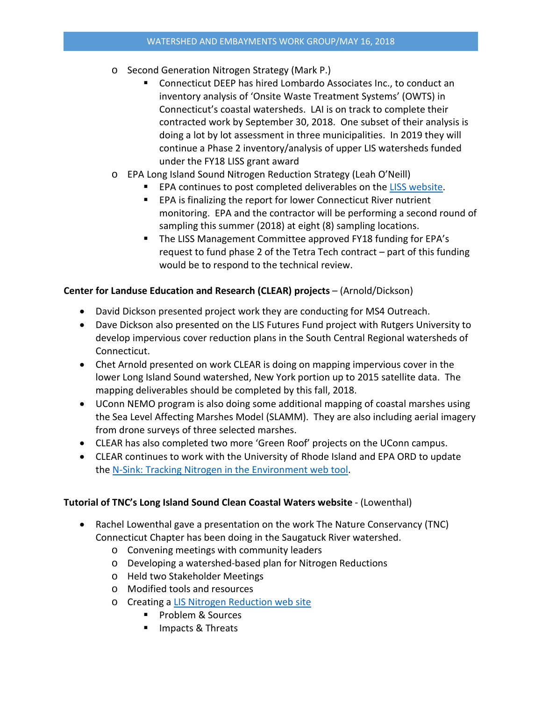- o Second Generation Nitrogen Strategy (Mark P.)
	- Connecticut DEEP has hired Lombardo Associates Inc., to conduct an inventory analysis of 'Onsite Waste Treatment Systems' (OWTS) in Connecticut's coastal watersheds. LAI is on track to complete their contracted work by September 30, 2018. One subset of their analysis is doing a lot by lot assessment in three municipalities. In 2019 they will continue a Phase 2 inventory/analysis of upper LIS watersheds funded under the FY18 LISS grant award
- o EPA Long Island Sound Nitrogen Reduction Strategy (Leah O'Neill)
	- **EPA continues to post completed deliverables on the [LISS website.](http://longislandsoundstudy.net/issues-actions/water-quality/nitrogen-strategy/)**
	- **EPA** is finalizing the report for lower Connecticut River nutrient monitoring. EPA and the contractor will be performing a second round of sampling this summer (2018) at eight (8) sampling locations.
	- The LISS Management Committee approved FY18 funding for EPA's request to fund phase 2 of the Tetra Tech contract – part of this funding would be to respond to the technical review.

### **Center for Landuse Education and Research (CLEAR) projects** – (Arnold/Dickson)

- David Dickson presented project work they are conducting for MS4 Outreach.
- Dave Dickson also presented on the LIS Futures Fund project with Rutgers University to develop impervious cover reduction plans in the South Central Regional watersheds of Connecticut.
- Chet Arnold presented on work CLEAR is doing on mapping impervious cover in the lower Long Island Sound watershed, New York portion up to 2015 satellite data. The mapping deliverables should be completed by this fall, 2018.
- UConn NEMO program is also doing some additional mapping of coastal marshes using the Sea Level Affecting Marshes Model (SLAMM). They are also including aerial imagery from drone surveys of three selected marshes.
- CLEAR has also completed two more 'Green Roof' projects on the UConn campus.
- CLEAR continues to work with the University of Rhode Island and EPA ORD to update the [N-Sink: Tracking Nitrogen in the Environment web tool.](http://clear.uconn.edu/projects/nsink/)

#### **Tutorial of TNC's Long Island Sound Clean Coastal Waters website** - (Lowenthal)

- Rachel Lowenthal gave a presentation on the work The Nature Conservancy (TNC) Connecticut Chapter has been doing in the Saugatuck River watershed.
	- o Convening meetings with community leaders
	- o Developing a watershed-based plan for Nitrogen Reductions
	- o Held two Stakeholder Meetings
	- o Modified tools and resources
	- o Creating a [LIS Nitrogen Reduction web site](https://www.liswaterquality.org/)
		- **Problem & Sources**
		- Impacts & Threats